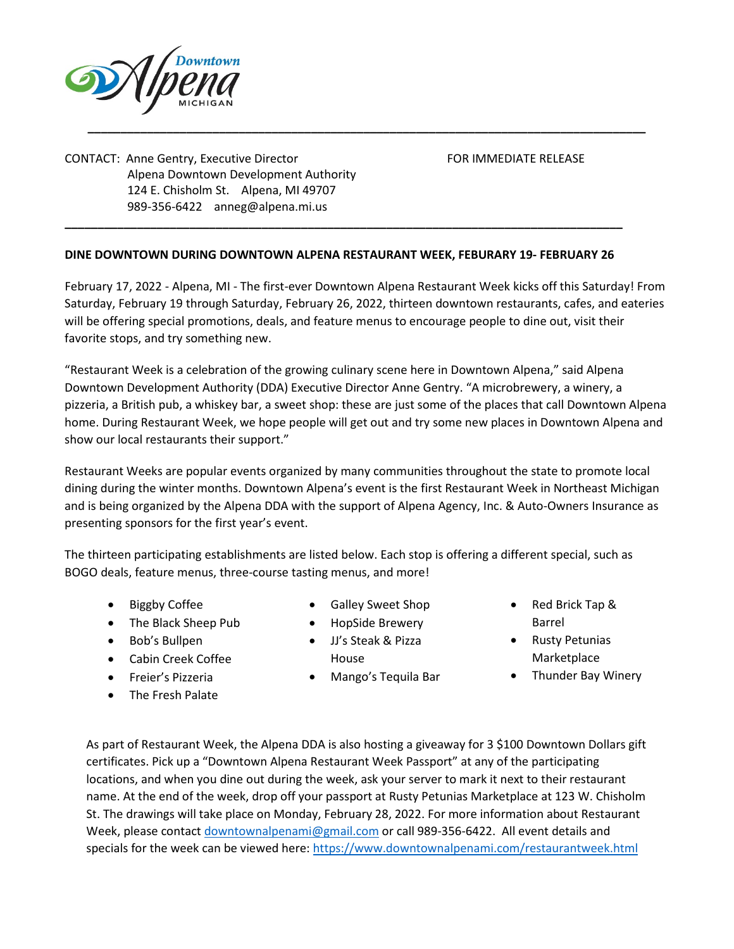

CONTACT: Anne Gentry, Executive Director FOR IMMEDIATE RELEASE Alpena Downtown Development Authority 124 E. Chisholm St. Alpena, MI 49707 989-356-6422 [anneg@alpena.mi.us](mailto:anneg@alpena.mi.us)

## **DINE DOWNTOWN DURING DOWNTOWN ALPENA RESTAURANT WEEK, FEBURARY 19- FEBRUARY 26**

**\_\_\_\_\_\_\_\_\_\_\_\_\_\_\_\_\_\_\_\_\_\_\_\_\_\_\_\_\_\_\_\_\_\_\_\_\_\_\_\_\_\_\_\_\_\_\_\_\_\_\_\_\_\_\_\_\_\_\_\_\_\_\_\_\_\_\_\_\_\_\_\_\_\_\_\_\_\_\_\_\_\_\_\_\_**

February 17, 2022 - Alpena, MI - The first-ever Downtown Alpena Restaurant Week kicks off this Saturday! From Saturday, February 19 through Saturday, February 26, 2022, thirteen downtown restaurants, cafes, and eateries will be offering special promotions, deals, and feature menus to encourage people to dine out, visit their favorite stops, and try something new.

**\_\_\_\_\_\_\_\_\_\_\_\_\_\_\_\_\_\_\_\_\_\_\_\_\_\_\_\_\_\_\_\_\_\_\_\_\_\_\_\_\_\_\_\_\_\_\_\_\_\_\_\_\_\_\_\_\_\_\_\_\_\_\_\_\_\_\_\_\_\_\_\_\_\_\_\_\_\_\_\_\_\_\_\_\_**

"Restaurant Week is a celebration of the growing culinary scene here in Downtown Alpena," said Alpena Downtown Development Authority (DDA) Executive Director Anne Gentry. "A microbrewery, a winery, a pizzeria, a British pub, a whiskey bar, a sweet shop: these are just some of the places that call Downtown Alpena home. During Restaurant Week, we hope people will get out and try some new places in Downtown Alpena and show our local restaurants their support."

Restaurant Weeks are popular events organized by many communities throughout the state to promote local dining during the winter months. Downtown Alpena's event is the first Restaurant Week in Northeast Michigan and is being organized by the Alpena DDA with the support of Alpena Agency, Inc. & Auto-Owners Insurance as presenting sponsors for the first year's event.

The thirteen participating establishments are listed below. Each stop is offering a different special, such as BOGO deals, feature menus, three-course tasting menus, and more!

- **Biggby Coffee**
- The Black Sheep Pub
- Bob's Bullpen
- Cabin Creek Coffee
- Freier's Pizzeria
- The Fresh Palate
- Galley Sweet Shop
- HopSide Brewery
- JJ's Steak & Pizza House
- Mango's Tequila Bar
- Red Brick Tap & Barrel
- Rusty Petunias Marketplace
- Thunder Bay Winery

As part of Restaurant Week, the Alpena DDA is also hosting a giveaway for 3 \$100 Downtown Dollars gift certificates. Pick up a "Downtown Alpena Restaurant Week Passport" at any of the participating locations, and when you dine out during the week, ask your server to mark it next to their restaurant name. At the end of the week, drop off your passport at Rusty Petunias Marketplace at 123 W. Chisholm St. The drawings will take place on Monday, February 28, 2022. For more information about Restaurant Week, please contact [downtownalpenami@gmail.com](mailto:downtownalpenami@gmail.com) or call 989-356-6422. All event details and specials for the week can be viewed here:<https://www.downtownalpenami.com/restaurantweek.html>